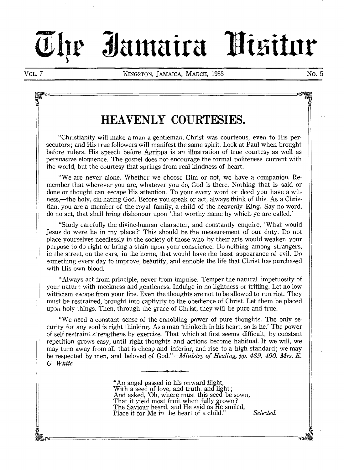# Jamaira Hizitor

Vol,. 7 **KINGSTON, JAMAICA, MARCH,** 1933 No. 5

# **HEAVENLY COURTESIES.**

"Christianity will make a man a gentleman. Christ was courteous, even to His persecutors; and His true followers will manifest the same spirit. Look at Paul when brought before rulers. His speech before Agrippa is an illustration of true courtesy as well as persuasive eloquence. The gospel does not encourage the formal politeness current with the world, but the courtesy that springs from real kindness of heart.

"We are never alone. Whether we choose Him or not, we have a companion. Remember that wherever you are, whatever you do, God is there. Nothing that is said or done or thought can escape His attention. To your every word or deed you have a witness,—the holy, sin-hating God. Before you speak or act, always think of this. As a Christian, you are a member of the royal family, a child of the heavenly King. Say no word, do no act, that shall bring dishonour upon 'that worthy name by which ye are called.'

"Study carefully the divine-human character, and constantly enquire, 'What would Jesus do were he in my place ?' This should be the measurement of our duty. Do not place yourselves needlessly in the society of those who by their arts would weaken your purpose to do right or bring a stain upon your conscience. Do nothing among strangers, in the street, on the cars, in the home, that would have the least appearance of evil. Do something every day to improve, beautify, and ennoble the life that Christ has purchased with His own blood.

"Always act from principle, never from impulse. Temper the natural impetuosity of your nature with meekness and gentleness. Indulge in no lightness or trifling. Let no low witticism escape from your lips. Even the thoughts are not to be allowed to run riot. They must be restrained, brought into captivity to the obedience of Christ. Let them be placed up in holy things. Then, through the grace of Christ, they will be pure and true.

"We need a constant sense of the ennobling power of pure thoughts. The only security for any soul is right thinking. As a man 'thinketh in his heart, so is he.' The power of self-restraint strengthens by exercise. That which at first seems difficult, by constant repetition grows easy, until right thoughts and actions become habitual. If we will, we may turn away from all that is cheap and inferior, and rise to a high standard ; we may be respected by men, and beloved of *God."—Ministry of Healing, pp. 489, 490. Mrs. E. G. White.* 

> "An angel passed in his onward flight, With a seed of love, and truth, and light ; And asked, 'Oh, where must this seed be sown, That it yield most fruit when fully grown ? The Saviour heard, and He said as He smiled, Place it for Me in the heart of a child." *Selected.*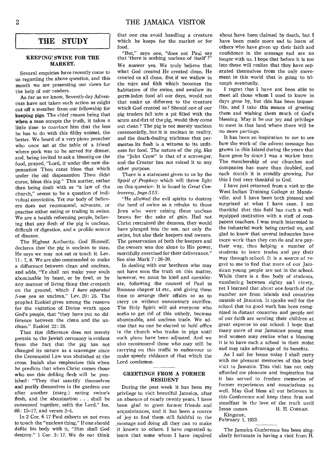# THE STUDY

#### **KEEPING7SWINE FOR THE MARKET.**

Several enquiries have recently come to us regarding the above question, and this month we are presenting our views for the help of our readers.

As far as we know, Seventh-day Adventists have not taken such action as might **cut off a member** from our fellowship for **keeping pigs. The** chief reason being that **when a man** accepts the truth, it takes a little time to convince him that the less he has to do with this filthy animal, the better. We heard of a very pious preacher who once sat at the table of a friend where pork was to be served for dinner, and, being invited to ask a blessing on the food, prayed, "Lord, if under the new dispensation Thou canst bless that which under the old dispensation Thou didst curse, bless this pig." This matter, rather than being dealt with as "a law of the church," seems to be a question of individual conviction. Yet our body of believers does not recommend, advocate, or practise either eating or trading in swine. We are a health reforming people, believing that any flesh of the pig is unclean, difficult of digestion, and a prolific source of disease.

The Highest Authority, God Himself, declares that the pig is unclean to man. He says we may not eat or touch it. Lev. 11: 7, 8. We are also commanded to make a difference between clean and unclean, and adds, "Ye shall not make your souls abominable by beast, or by fowl, or by any manner of living thing that creepeth on the ground, which *I have separated from you* as unclean." Lev. 20: 25. The prophet Ezekiel gives among the reasons for the visitation of Divine wrath upon God's people, that "they have put no difference between the clean and the unclean." Ezekiel 22:26.

That this difference does not merely pertain to the Jewish ceremony is evident from the fact that the pig has not changed its nature as a scavenger since the Ceremonial Law was abolished at the cross. Isaiah also emphasizes this when he predicts that when Christ comes those **who** use this defiling flesh will be punished: **"They that** sanctify themselves **and purify** themselves in the gardens one after another (marg.) eating swine's flesh, and the abomination . . . shall be consumed together, saith the Lord." Isa. 66: 15-17, and verses 2-4.

In 2 Cor. 6 17 Paul exhorts us not even to touch the "unclean thing." If one should defile his body with it, "Him shall God destroy." **1** Cor. 3: 17. We do not think

that one can avoid handling a creature which he keeps for the market or for food.

"But," says one, "does not Paul say that 'there is nothing unclean of itself'?" We answer yes. We truly believe that what God created He created clean. He created us all clean. But if we wallow in the mire and filth which becomes the habitation of the swine, and swallow its germ-laden food all our days, would not that make us different to the creature which God created us? Should one of our pig traders fall into a pit filled with the scum and dirt of the pig, would they come out clean ? The pig is not merely unclean ceremonially, but it is unclean in reality, and the death-dealing trichinae that permeates its flesh is a witness to its unfitness for food. The nature of the pig, like the "John Crow" is that of a scavenger, and the Creator has not suited it to any other purpose.

There is a statement given to us by the *Spirit of Prophecy* which will throw light on this question. It is found in *Great Con- &avers); page 515:* 

"He allowed the evil spirits to destroy the herd of swine as a rebuke to those Jews who were raising these unclean beasts for the sake of gain. Had not Christ restrained the demons, they would have plunged into the sea, not only the swine, but also their keepers and owners. The preservation of both the-keepers and the owners was due alone to His power, mercifully exercised for their deliverance." See also Mark 7: 26-30.

In dealing with our brethren who may not have seen the truth on this matter, however, we must be kind and considerate, following the counsel of Paul in Romans chapter 14 etc., and giving them time to arrange their affairs so as to carry on without unnecessary sacrifice. The Holy Spirit will aid everyone who seeks to get rid of this unholy, because abominable, and unclean trade. We advise that no one be elected to hold office in the church who trades in pigs until such plans have been adjusted. And we also recommend those who may still be carrying on this traffic to endeavour to make speedy riddance of that which the Lord condemns.

# **GREETINGS FROM A FORMER RESIDENT**

During the past week it has been my privilege to visit beautiful Jamaica, after an absence of nearly twenty years. I have been glad to greet former friends and acquaintances, and it has been a source of joy to find them still faithful to the message and doing all they can to make it known to others. I have regretted to learn that some whom I have inquired

about have been claimed by death, but I have been made more sad to learn of others who have given up their faith and confidence in the message and are no longer with us. I hope that before it is too late these will realize that they have separated themselves from the only movement in this world that is going to triumph eventually.

I regret that I have not been able to meet all those whom I used to know in days gone by, but this has been impossible, and I take this means of greeting them and wishing them much of God's blessing. May it be our joy and privilege to meet in that land where there will be no more partings.

It has been an inspiration to me to see how the work of the advent message has grown in this Island during the years that have gone by since I was a worker here. The membership of our churches and companies has more than doubled, and each month it is steadily growing. For this I feel very thankful to God.

I have just returned from a visit to the West Indian Training College at Mandeville, and I have been both pleased and surprised at what I have seen. I am thankful that this field has such a wellequipped institution with a staff of competent teachers. I was much interested in the industrial work being carried on, and glad to know that several industries have more work than they can do and are paytheir way, thus helping a number of students to learn trades and pay their way through school. It is a source of regret to me to find that more of our Jamaican young people are not in the school. While there is a fine body of students, numbering between eighty and ninety. yet I learned that about one-fourth of the number are from islands and countries outside of Jamaica. It speaks well for the school that its good work has been recognized in distant countries and people not of our faith are sending their children at great expense to our school. I hope that many more of our Jamaican young men and women may realize what a blessing it is to have such a school in their midst and may take advantage of its benefits.

As I sail for home today I shall carry with me pleasant memories of this brief visit to Jamaica. This visit has not only afforded me pleasure and inspiration but **it** has served to freshen memories of former experiences and associations as well. May God bless all our believers in this Conference and keep them firm and steadfast in the love of the truth until<br>Jesus comes. H. H. COBBAN. H. H. COBBAN.

Kingston, February 1, 1933.

The Jamaica Conference has been singularly fortunate in having a visit from H.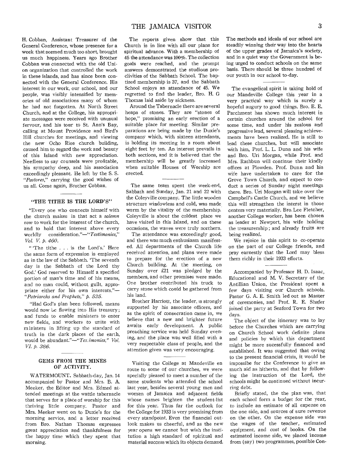H. Cobban, Assistant Treasurer of the General Conference, whose presence for a week that seemed much too short, brought us much happiness. Years ago Brother Cobban was connected with the old Union organization that controlled the work in these islands, and has since been connected with the General Conference. His interest in our work, our school, and our people, was visibly intensified by memories of old associations many of whom he had not forgotten. At North Street Church, and at the College, his appropriate messages were received with unusual fervour, and his tour to St. Ann's Bay, calling at Mount Providence and Bird's Hill churches for meetings, and viewing the new Ocho Rios church building, caused him to regard the work and beauty of this Island with new appreciation. Needless to say counsels were profitable, his sympathy deep, and his association exceedingly pleasant. He left by the S. S. "Pastores," carrying the good wishes of us all. Come again, Brother Cobban.

# "THE TITHE IS THE LORD'S"

"Every one who connects himself with the church makes in that act a *solemn vow* to work for the interest of the church, and to hold that interest above every worldly consideration."—"Testimonies," *Vol. V. p. 460.* 

" 'The tithe . . . is the Lord's.' Here the same form of expression is employed as in the law of the Sabbath. 'The seventh day is the Sabbath of the Lord thy God.' God reserved to Himself a specified portion of man's time and of his means, and no man could, without guilt, appropriate either for his own interests."— *"Patriarchs and Prophets," p. 525.* 

"Had God's plan been followed, means would now be flowing into His treasury; and funds to enable ministers to enter new fields, and workers to unite with ministers in lifting up the standard of truth in the dark places of the earth, would be abundant."-"Tes.imonies," Vol. *VI. p. 386.* 

# GEMS FROM THE MINES OF ACTIVITY.

WATERMOUNT. Sabbath-day, Jan. 14 accompanied by Pastor and Mrs. B. A. Meeker, the Editor and Mrs. Edmed attended meetings at the wattle tabernacle that serves for a place of worship for this thriving little company. Pastor and Mrs. Meeker went on to Duxie's for the morning service, and a letter received from Bro. Nathan Thomas expresses great appreciation and thankfulness for the happy time which they spent that morning.

The reports given show that this Church is in line with all our plans for spiritual advance. With a membership of 45 the attendance was 100%. The collection goals were reached, and the prompt answers demonstrated the studious proclivities of the Sabbath School. The baptized membership is 37, and the Sabbath School enjoys an attendance of 45. We regretted to find the leader, Bro. H. G Thomas laid aside by sickness.

Around the Tabernacle there are several heaps of stones. They are "stones of hope," promising an early erection of a suitable place for meeting. Similar preparations are being made by the Duxie's company which, with sixteen attendants, is holding its meeting in a room about eight feet by ten. An interest prevails in both sections, and it is believed that the membership will be greatly increased when suitable Houses of Worship are erected.

The same team spent the week-end, Sabbath and Sunday, Jan. 21 and 22 with the Coleyville company. The little wooden structure windowless and cold, was made warm by the vitality of the membership. Coleyville is about the coldest place we have visited in this Island, and on these occasions, the waves were truly northern.

The attendance was exceedingly good, and there was much enthusiasm manifested. All departments of the Church life received attention, and plans were made to prepare for the erection of a new Church building. At the meeting, on Sunday over £21 was pledged by the members, and other promises were made. One brother contributed his truck to carry stone which could be gathered from his land.

Brother Harriott, the leader, is strongly supported by his associate officers, and as the spirit of consecration came in, we believe that a new and brighter future awaits early development. A public preaching service was held Sunday evening, and the place was well filled with a very respectable class of people, and the attention given was very encouraging.

Visiting the College at Mandeville en route to some of our churches, we were specially pleased to meet a number of the same students who attended the school last year, besides several young men and women of Jamaica and adjacent fields whose names brighten the student-list for this year. Thus far the outlook for the College for 1933 is very promising from every standpoint. Even the financial outlook makes us cheerful, and as the new year opens we cannot but wish the institution a high standard of spiritual and material success which its objects demand.

The methods and ideals of our school are steadily winning their way into the hearts of the upper grades of Jamaica's society, and in a quiet way the Government is being urged to conduct schools on the same basis. There should be three hundred of our youth in our school to-day.

The evangelical spirit is taking hold of our Mandeville College this year in a very practical way which is surely a hopeful augury to good things. Bro. E. E. Parchment has shown much interest in certain churches around the school for some time, and under his zealous and progressive lead, several pleasing achievements have been realized. He is still to lead these churches, but will associate with him, Prof. L. L. Dunn and his wife and Bro. Uri Morgan, while Prof. and Mrs. Rathbun will continue their kindly offices at Plowden. Prof. Dunn and his wife have undertaken to care for the Grove Town Church, and expect to conduct a series of Sunday night meetings there. Bro. Uri Morgan will take over the Campbell's Castle Church, and we believe this will strengthen the interst in those centers very materially. Bro. Lee Fletcher, another College worker, has been chosen as leader at Newport, his wife holding the treasurership ; and already fruits are being realized.

We rejoice in this spirit to co-operate on the part of our College friends, and pray earnestly that the Lord may bless them richly in their 1933 efforts.

Accompanied by Professor H. D. Isaac, Educational and M. V. Secretary of the Antillian Union, the President spent a few days visiting our Church schools. Pastor G. A. E. Smith led out as Master of ceremonies, and Prof. R. E. Shafer joined the party at Seaford Town for two days.

The object of the itinerary was to lay before the Churches which are carrying on Church School work definite plans and policies by which this department might be more sucessfully financed and established. It was suggested that owing to the present financial crisis, it would be impossibe for the Conference to give as much aid as hitherto, and that by following the instruction of the Lord, the schools might be continued without incurring debt.

Briefly stated, the the plan was, that each school form a budget for the year, to include an estimate of all expense on the one side, and sources of sure revenue on the other. On the expense side was the wages of the teacher, estimated equipment, and cost of books. On the estimated income side, we placed income from (say) two programmes, possible Con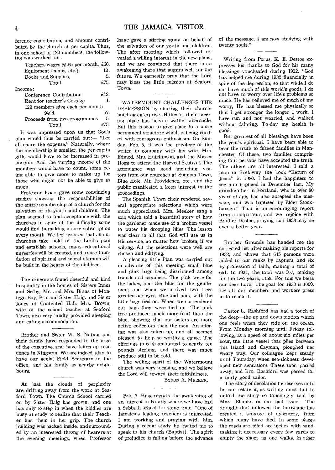ference contribution, and amount contributed by the church at per capita. Thus, in one school of 120 members, the following was worked out:

| Teachers wages @ £5 per month, £60. |      |  |
|-------------------------------------|------|--|
| Equipment (maps, etc.),             | 10.  |  |
| Books and Supplies,                 | 5.   |  |
| Total                               | £75. |  |
| Income:                             |      |  |
| Conference Contribution             | £12. |  |
| Rent for teacher's Cottage          | 1.   |  |
| 120 members give each per month     |      |  |
| 9½d.                                | 57.  |  |
| Proceeds from two programmes        | 5.   |  |
| Total                               |      |  |

It was impressed upon us that God's plan would thus be carried out :- "Let all share the expense." Naturally, where the membership is smaller, the per capita gifts would have to be increased in proportion. And the varying income of the members would have to count, some being able to give more to make up for those who might not be able to give as much.

Professor Isaac gave some convincing studies showing the responsibilities of the entire membership of a church for the salvation of its youth and children. The plan seemed to find acceptance with the churches in spite of the difficulty some would find in making a sure subscription every month. We feel assured that as our churches take hold of the Lord's plan and establish schools, many educational nurseries will be created, and a sure foundation of spiritual and moral stamina will be built in the hearts of the children.

The itinerants found cheerful and kind hospitality in the homes of Sisters Innes and Selby, Mr. and Mrs. Binns of Montego Bay, Bro. and Sister Haig, and Sister Jones of Contented Hall. Mrs. Brown, wife of the school teacher at Seaford Town, also very kindly provided sleeping and eating accommodation.

Brother and Sister W. S. Nation and their family have responded to the urge of the executive, and have taken up residence in Kingston. We are indeed glad to have our genial Field Secretary in the office, and his family as nearby neighbours.

At last the clouds of perplexity are drifting away from the work at Seaford Town. The Church School carried on by Sister Haig has grown, and one has only to step in when the kiddies are busy at study to realize that their Teacher has them in her grip. The church building was packed inside, and surrounded by an interested throng of hearers at the evening meetings, when Professor Isaac gave a stirring study on behalf of the salvation of our youth and children. The after meeting which followed revealed a willing interest in the new plans, and we are convinced that there is an awakening there that augurs well for the future. We earnestly pray that the Lord may bless the little mission at Seaford Town.

WATERMOUNT CHALLENGES THE DEPRESSION by starting their churchbuilding enterprise. Hitherto, their meeting place has been a wattle tabernacle. But this is soon to give place to a more permanent structure which is being started with courageous enthusiasm. On Sunday, Feb. 5, it was the privilege of the writer in company with his wife, Mrs. Edmed, Mrs. Hutchinson, and the Misses Hogg to attend the Harvest Festival. The attendance was good including visitors from our churches at Spanish Town, Blue Hole, Mt. Providence, etc., and the public manifested a keen interest in the proceedings.

The Spanish Town choir rendered several appropriate selections which were much appreciated. Mrs. Meeker sang a solo which told a beautiful story of how the gardener made use of a broken vessel to water his drooping lilies. The lesson was clear to all that God will use us in His service, no matter how broken, if we willing. All the selections were well are chosen and edifying.

A pleasing little Plan was carried out in advance of this meeting, small blue and pink bags being distributed among friends and members. The pink were for the ladies, and the blue for the gentlemen; and when we arrived two trees greeted our eyes, blue and pink, with the little bags tied on. When we surrendered our bags they were tied on. The pink tree produced much more fruit than the blue, showing that our sisters are more active collectors than the men. An offering was also taken up, and all seemed pleased to help so worthy a cause. The offerings in cash amounted to nearly ten pounds sterling, and there was much produce still to be sold.

The willing spirit of the Watermount church was very pleasing, and we believe the Lord will reward their faithfulness. BYRON A. MEEKER.

Bro. A. Haig reports the awakening of an interest in Huntly where we have had a Sabbath school for some time. "One of Jamaica's leading teachers is interested. I am working and praying with him. During a recent study he invited me to speak to his church (Baptist). The spirit of prejudice is falling before the advance of the message. I am now studying with twenty souls."

Writing from Porus, K. E. Destoe expresses his thanks to God for his many blessings vouchsafed during 1932. "God has helped me during 1932 financially in spite of the depression, so that while I do not have much of this world's goods, I do not have to worry over life's problems so much. He has relieved me of much of my worry, He has blessed me physically so that I get stronger the longer I work. I have run and not wearied, and walked without fainting. To-day my health is good.

But greatest of all blessings have been the year's spiritual. I have been able to bear the truth to fifteen families in Manchester. Of these, two families comprising four persons have accepted the truth. The others are all interested. I sold a man in Trelawny the book "Return of Jesus" in 1936. I had the happiness to see him baptized in December last. My grandmother in Portland, who is over 80 years of age, has also accepted the message, and was baptized by Elder Stockhausen." That is an encouraging report from a colporteur, and we rejoice with Brother Destoe, praying that 1933 may be even a better year.

Brother Grounds has handed me the corrected list after making his reports for 1932, and shows that 645 persons were added to our ranks by baptism, and six by profession of faith, making a total of 651. In 1931, the total was 50/, making for the two years, 1158. For this we bless our dear Lord. The goal for 1933 is 1000. Let all our members and workers press in to reach it.

Pastor L. Rashford has had a touch of the deep—the up and down motion which one feels when they ride on the ocean. From Monday morning until Friday following, at a speed of about six miles per hour, the little vessel that plies between this Island and Cayman, ploughed her weary way. Our colleague kept steady until Thursday, when sea-sickness developed new sensations These soon passed away, and Bro. Rashford was passed for a fairly good sailor.

The story of desolation he reserves until he can relate it, as writing must fail to unfold the stary so touchingly told by<br>Miss. Ebanks in our last issue. The Miss Ebanks in our last issue. drought that followed the hurricane has created a scourge of dysentery, from which many have died. In some places the roads are piled six inches with sand, making it neccessary every few yards to empty the shoes as one walks. In other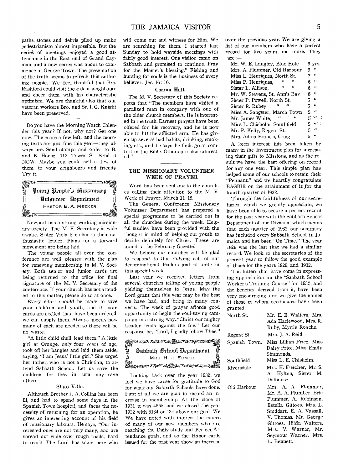paths, stones and debris piled up make pedestrianism almost impossible. But the series of meetings enjoyed a good attendance in the East end of Grand Cayman, and a new series was about to commence at George Town. The presentation of the truth seems to refresh this suffering people. We feel thankful that Bro. Rashford could visit these dear neighbours and cheer them with his characteristic optimism. We are thankful also that our veteran workers Bro. and Sr. I. G. Knight have been preserved.

Do you have the Morning Watch Calender this year? If not, why not? Get one now. There are a few left, and the morning texts are just fine this year—they always are. Send stamps and order to B. and B. House, 112 Tower St. Send it NOW. Maybe you could sell a few of them to your neighbours and friends. Try it.



Newport has a strong working missionary society. The M. V. Secretary is wide awake. Sister Viola Fletcher is their enthusiastic leader. Plans for a forward movement are being laid.

The young people all over the conference are well pleased with the plan for renewing membership in M. V. Society. Both senior and junior cards are being returned to the office for final signature of the M. V. Secretary of the conference. If your church has not attended to this matter, please do so at once.

Every effort should be made to save your children and youth, and if more cards are necled than have been ordered, we can supply them. Always specify how many of each are needed so there will be no waste.

"A little child shall lead them." A little girl at Orange, only four years of age, took off her bangles and laid them aside, saying, "I am Jesus' little girl." She urged her father, who is not a Christian, to attend Sabbath School. Let us save the children, for they in turn may save others.

#### Sligo Ville.

Although Brother J. A. Collins has been ill, and had to spend some days in the Spanish Town hospital, and faces the necessity of returning for an operation, he gives an interesting account of his field of missionary labours. He says, "Our interested ones are not very many, and are spread out wide over rough roads, hard to reach. The Lord has some here who

will come out and witness for Him. We are searching for them. I started last Sunday to hold wayside meetings with fairly good interest. One visitor came on Sabbath and promised to continue. Pray for the Master's blessing." Fishing and hunting for souls is the business of every believer. Jer. 16: 16.

#### Carron Hall.

The M. V. Secretary of this Society reports that "The members have visited a paralized man in company with one of the older church members. He is interested in the truth. Earnest prayers have been offered for his recovery, and he is now able to lift the afflicted arm. He has given up several bad habits, drinking, smoking, etc., and he says he finds great comfort in the Bible. Others are also interested."

## THE MISSIONARY VOLUNTEER WEEK OF PRAYER

Word has been sent out to the churches calling their attention to the M. V. Week of Prayer, March 11-18.

The General Conference Missionary Volunteer Department has prepared a special programme to be carried out in all the churches during the week. Helpful studies have been provided with the thought in mind of helping our youth to decide definitely for Christ. These are found in the February Gazette.

We believe our churches will be glad to respond to this rallying call of our denominational leaders and to unite in this special week.

Last year we received letters from several churches telling of young people yielding themselves to Jesus. May the Lord grant that this year may be the best we have had, and bring in many converts. The week of prayer affords good opportunity to begin the soul-saving campaign in a strong way. "Christ our mighty Leader leads against the foe." Let our response be, "Lord, I gladly follow Thee."

|    | ASSE QUOBER ASSUSTANÇÕELE TRATA ANDUS GRUPOS<br>QRI   |   |
|----|-------------------------------------------------------|---|
| ð. | Sabbath School Department                             | C |
|    |                                                       |   |
|    | 7<br>Mes. H. J. Edmed<br>Algnozachistal@atdickorong@r |   |

Looking back over the year 1932, we feel we have cause for gratitude to God for what our Sabbath Schools have done. First of all we are glad to record an increase in membership. At the close of 1931 it was 4555, and we closed the year 1932 with 5134 or 134 above our goal. We We have noted with interest the names of many of our new members who are reaching the Daily study and Perfect Attendance goals, and so the Honor cards issued for the past year show an increase

over the previous year. We are giving a list of our members who have a perfect record for five years and more. They are:-

| Mr. W. E. Langley, Blue Hole                   | 9 vrs.                |
|------------------------------------------------|-----------------------|
| Mrs. A. Plummer, Old Harbour                   | $\epsilon$<br>q       |
| Miss L. Henriques, North St.                   | 44                    |
| "<br>Miss P. Henriques.                        | - 44<br>б             |
| $\epsilon$<br>$\epsilon$<br>Sister L. Allison. | $\epsilon$<br>6       |
| Mr. W. Stevens, St. Ann's Bay                  | $^{c}$<br>б           |
| Sister P. Powell, North St.                    | -66<br>5              |
| 44<br>Sister R. Rubey.                         | $^{16}$<br>5          |
| Miss A. Sangster, March Town                   | $\cdot$ cc<br>5       |
| Mr. James White.                               | 5 . "                 |
| Miss L. Chisholm, Southfield                   | CC <sub>2</sub><br>5. |
| Mr. P. Kelly, Regent St.                       | 66<br>5               |
| Mrs. Adina Francis, Craig                      | "<br>5                |

A keen interest has been taken by many in the Investment plan for increasing their gifts to Missions, and as the result we have the best offering on record for any one year. This simple plan has helped some of our schools to retain their "Pennant," and we heartily congratulate BAGBIE on the attainment of it for the fourth quarter of 1932.

Through the faithfulness of our secretaries, which we greatly appreciate, we have been able to secure a perfect record for the past year with the Sabbath School Department of our Division, which means that each quarter of 1932 our summary has included every Sabbath School in Jamaica and has been "On Time." The year 1929 was the last that we had a similar record. We look to the secretaries of the present year to follow the good example of those for the years 1929, and 1932.

The letters that have come in expressing appreciation for the "Sabbath School Worker's Training Course" for 1932, and the benefits derived from it, have been very encouraging, and we give the names of those to whom certificates have been granted.

| North St.     | Mr. E. E. Walters, Mrs.<br>Ada Hazlewood, Mrs. R.<br>Ruby, Myrtle Roache.                                                                                                                                                                         |
|---------------|---------------------------------------------------------------------------------------------------------------------------------------------------------------------------------------------------------------------------------------------------|
| Regent St.    | Mrs. J. A. Reid.                                                                                                                                                                                                                                  |
| Spanish Town, | Miss Lillian Price, Miss<br>Daisy Price, Miss Emily<br>Simmonds.                                                                                                                                                                                  |
| Southfield    | Miss L. E. Chisholm.                                                                                                                                                                                                                              |
| Riversdale    | Mrs. H. Fletcher, Mr. S.<br>A. Hylton, Sister M.<br>Dalhouse.                                                                                                                                                                                     |
| Old Harbour   | Mrs. A. A. Plummer,<br>Mr. A. A. Plumber, Eric<br>Plummer, A. Robinson,<br>Estella Gittoes, Mrs. L.<br>Stoddart, E. A. Vassall,<br>V. Thomas, Mr. George<br>Gittoes, Hilda Walters,<br>Mrs. V. Warner, Mr.<br>Seymour Warner, Mrs.<br>L. Bennett. |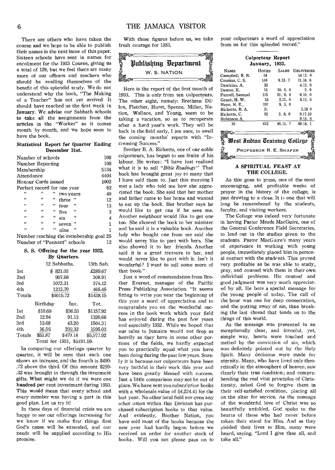There are others who have taken the course and we hope to be able to publish their names in the next issue of this paper. Sixteen schools hays sent in names for enrollment for the 1933 Course, giving us a total of 129, but we feel there are many more of our officers and teachers who should be availing themselves of the benefit of this splendid study. We do not understand why the book, "The Making of a Teacher" has not yet arrived. It should have reached us the first week in **January. We advise** our Sabbath schools **to 'take all the** assignments from the articles **in the** "Worker" as it comes month by month, and we hope soon to have the book.

#### **Statistical Report for Quarter Ending December 31st.**

| Number of schools           |    |    |                    |    | 108  |
|-----------------------------|----|----|--------------------|----|------|
| Number Reporting            |    |    |                    |    | 108  |
| Membership                  |    |    |                    |    | 5134 |
| Attendance                  |    |    |                    |    | 4404 |
| Honour Cards issued         |    |    |                    |    | 1002 |
| Perfect record for one year |    |    |                    |    | 82   |
| ,,                          | ,, | ,, | two vears          |    | 40   |
| ,,                          | "  | ,, | three              |    | -12  |
| , ,                         | ,, | ,, | four               | ,, | 13   |
| ,,                          | ,, | ,, | five               | ,, | 3    |
| ,,                          | ,, | "  | $\dot{\mathbf{S}}$ | ,, | 4    |
| ,                           | ,, | ,, | seven              | 13 | 1    |
| ,,                          | ,, | ,, | nıne               | ,, | 1    |
|                             |    |    |                    |    |      |

Number reaching the membership goal 25 Number of "Pennant" schools 12

# **S. S. Offering for the year 1932. By Quarters.**

|                 | 12 Sabbaths. | 13th Sab.                  |            |
|-----------------|--------------|----------------------------|------------|
| 1st             | \$821.03     | £289.67                    |            |
| 2 <sub>nd</sub> | 907.68       | 308.91                     |            |
| 3rd             | 1073.31      | 374.12                     |            |
| 4th             | 1213.70      |                            | 465.45     |
| Totals          | \$4015.72    |                            | \$1438.15  |
|                 | Birthday     | Inv.                       | Tot.       |
| 1st             | \$10.69      | \$36.53                    | \$1157.92  |
| 2nd             | 12.94        | 91.13                      | 1320.66    |
| 3rd             | 13.68        | 43.20                      | 1504.31    |
| 4th             | 16.56        | 299.32                     | 1995.03    |
| Totals          | \$53.87      | \$470.18                   | \$5,977.92 |
|                 |              | Total for 1931, \$5191,59. |            |

In comparing our offerings quarter by quarter, it will be seen that each one shows an increase, and the fourth is \$490- .72 above the third. Of this amount \$299- .32 was brought in through the invesment gifts. What might we do if we were one **hundred per cent** investment during 1933. This would mean that every school and every member was having a part in this good plan. Let us try it?

In these days of financial crisis we are happy to see our offerings increasing for we know if we make first things first God's cause will be extended, and our needs will be supplied according to His promise.

With these figures before us, we take fresh courage for 1933.



Here is the report of the first month of 1933. This is only from ten colporteurs. The other eight, namely: Brethren Dillon, Fletcher, Hurst, Spence, Miller, Nation, Wallace, and Young, seem to be taking a vacation, so as to recuperate after a hard year's work. They will be back in the field early, I am sure, to swell the coming months' reports with "Increasing Success."

Brother B. A. Ricketts, one of our noble colporteurs, has begun to see fruits )f his labour. He writes: **"I** have just realized what it is to sell *"Bible Readings"* That book has brought great joy to many that I have sold them to. Just this morning I met a lady who told me how she appreciated the book. She said that her mother and father came to her home and wanted to eat up the book. Her brother says he would like to get one if he sees me. Another neighbour would like to get one too. She showed the book to her minister and he said it is a valuable book. Another lady who bought one from me said she would never like to part with hers. She also showed it to her friends. Another said it is a great treasure to her, and would never like to part with it. Isn't it wonderful? I want to sell some more of that book."

Just a word of commendation from Brother Everest, manager of the Pacific Press Publishing Association. "It seems fitting to write you near the beginning of this year a word of appreciation and to congratulate you on the wonderful success in the book work which your field has enjoyed during the past few years and especially 1932. While we hoped that our sales to Jamaica would rot drop as heavily as they have in some other portions of the fields, we hardly expected you to practically equal what you have been doing during the past few years. Surely it is because our colporteurs have been very faithful in their work this year and have been greatly blessed with success. Just a little comparison may not be out of place. We have sent you subscription books with a wholesale value of \$4,224.41 for the last year. No other local field nor even any other union within this Division has purchased subscription books to that value. And evidently, Brother Nation, you have sold most of the books because the new year had hardly begun before we received an order for another stock of books. Will you not please pass on to

your colporteurs a word of appreciation from us for this splended record."

|                 | Colporteur Report<br>January, 1933. |              |                   |
|-----------------|-------------------------------------|--------------|-------------------|
| <b>NAME</b>     | HOURS                               | <b>SALES</b> | <b>DELIVERIES</b> |
| Campbell, R. B. | 24                                  |              | 14.12. 0          |
| Cousins. C. S.  | 148                                 | 9.13.7       | 11.18.6           |
| Dawkins, A.     | 33                                  |              | 4.12.0            |
| Destoe. K.      | 15                                  | 10.6.0       | 3.9               |
| Farrell, Samuel | 175                                 | 61.9.0       | 9.10.0            |
| Grant, H. W.    | 18                                  | 2.12.0       | 6.12.6            |
| Have, N. E      | 107                                 | 9, 3, 0      |                   |
| Ricketts, B. A. | 31                                  |              | 2.180             |
| Ricketts, C.    | 62                                  | 2.8.0        | 9.17.10           |
| Robinson A.     |                                     |              | 9.13.6            |
| 10              | 613                                 | 95.11.7      | 69.18.1           |



# **A SPIRITUAL FEAST AT THE COLLEGE.**

As this goes to press, one of the most encouraging, and profitable weeks of prayer in the history of the college, is just drawing to a close. **It is** one that will long be remembered by the students, faculty, and visiting workers.

The College was indeed very fortunate in having Pastor Meade MacGuire, one of the General Conference Field Secretaries, to lead out in the studies given to the students. Pastor MacGuire's many years of experience in working with young people, immediately placed him in personal contact with the students. This proved very profitable as he was able to study, pray, and counsel with them in their own individual problems. His counsel and good judgment was very much appreciated by all. He bore a special message for the young people of today. The call of the hour was one for deep consecration, and the putting away of sin, thus breaking the last thread that binds us to the things of this world.

As the message was presented in an exceptionally clear, and forceful, yet, simple way, hearts were touched and melted by the conviction of sin, which was definitely pointed out by the Holy Spirit. Many decisions were made for eternity. Many, who have lived only theoretically in the atmosphere of heaven, saw clearly their true condition ; and comprehending the real vital principles of Christianity, asked God to forgive them in their self-satisfied condition, placing ail on the altar for service. As the message of the wonderful love of Christ was so beautifully unfolded, God spoke to the hearts of those who had never before taken their stand for Him. And as they yielded their lives to Him, many were heard, saying, "Lord I give thee all, and take all."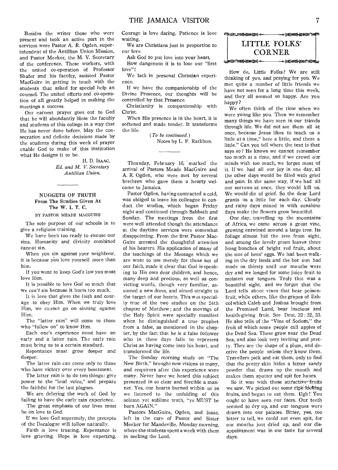Besides the writer those who were present and took an active part in the services were Pastor A. R. Ogden, superintendent of the Antillian Union Mission, and Pastor Meeker, the M. V. Secretary of the conference. These workers, with the united co-operation of Professor Shafer and his faculty, assisted Pastor MacGuire in getting in touch with the students that asked for special help an counsel. The united efforts and co-operation of all greatly helped in making the meetings a success.

Our earnest prayer goes out to God that he will abundantiy bless the faculty and students of this college in a way that He has never done before. May the consecration and definite decisions made by the students during this week of prayer enable God to make of this institution what He designs it to be.

> H. D. ISAAC, *Ed. and M. V. Secretary Antillian Union.*

# NUGGETS OF TRUTH From The Studies Given At The W. I. T. C.

#### BY PASTOR MEADE MACGUIRE

The sole purpose of our schools is to give a religious training.

We have been too ready to excuse our sins. Humanity and divinity combined cannot sin.

When you sin against your neighbour, it is because you love yourself more than him.

If you want to keep God's law you must love Him.

It is possible to love God so much that we *can't* sin because it hurts too much.

It is love that gives the faith and courage to obey Him. When we truly love Him, we cannot go on sinning against Him.

The "latter rain" will come to those who "follow on" to know Him.

Each one's experience must have an early and a latter rain. The early rain must bring us to a certain standard.

Repentance must grow deeper and deeper.

The latter rain can come only to those who have victory over every besetment.

The latter rain is to do two things: give power to the "loud voice," and prepare the faithful for the last plagues.

We are delaying the work of God by failing to have the early rain experience.

The great emphasis of our lives must be on love to God.

If we love God supremely, the precepts of the Decalogue will follow naturally.

Faith is love trusting. Repentance is love grieving. Hope is love expecting.

Courage is love daring. Patience is love waiting.

We are Christians *just* in proportion to our love.

Ask God to put love into your heart.

How dangerous it is to lose our "first love"!

We lack in personal Christian experience.

If we have the companionship of the Divine Presence, our thoughts will be controlled by that Presence.

Christianity is companionship with Christ.

When His presence is in the heart, it is softened and made tender. It transforms the life.

> *(To be continued.)*  Notes by L. F. Rathbun.

Thursday, February 16, marked the arrival of Pastors Meade MacGuire and A. R. Ogden, who were met by several brethren who gave them a hearty welcome to Jamaica.

Pastor Ogden, having contracted a cold, was obliged to leave his colleague to conduct the studies, which began Friday night and continued through Sabbath and Sunday. The meetings from the first were well attended though the attendance at the daytime services were somewhat disappointing. From the first Pastor Mac-Guire arrested the thoughtful attention of his hearers. His application of many of the teachings of the Message which we are wont to use merely for those not of our faith, made it clear that God is speaking to His own dear children, and hence, many deep and precious, as well as convicting words, though very familiar, assumed a new dress, and aimed straight to the target of our hearts. This was specially true of the two studies on the 24th chapter of Matthew; and the movings of the Holy Spirit were specially manifest when he distinguished' a true prophet from a false, as mentioned in the chapter, by the fact that he is a false follower who in these days fails to represent Christ as having come into his heart, and transformed the life.

The Sunday morning study on "The New Birth," brought new visions to many, and enquirers after this experience were many. Never have we heard this subject presented in so clear and forcible a manner. Yes, our hearts burned within us as we listened to the unfolding of this solemn yet sublime truth, "ye MUST be born AGAIN."

Pastors MacGuire, Ogden, and Isaac, left in the care of Pastor and Sister Meeker for Mandeville, Monday morning, where the students spent a week with them in seeking the Lord.



How de, Little Folks? We are still thinking of you, and praying for you. We met quite a number of little friends we have not seen for a long time this week, and they all seemed so happy. Are you happy ?

We often think of the time when we were young like you. Then we remember many things we have seen in our travels through life. We did not see them all at once, because Jesus likes to teach us a little at a time," here a little, and there a little." Can you tell where the text is that says so ? He knows we cannot remember too much at a time, and if we crowd our minds with too much, we forget most of it. If we had all our joy in one day, all the other days would be filled with grief and pain. In the same way, if we had all our sorrows at once, they would kill us. We would die of grief. So the dear Lord grants us a little for each day. Cloudy and rainy days mixed in with sunshine days make the flowers grow beautiful.

One day, travelling up the mountains of Africa, we came across a great vine, growing entwined around a large tree. Its foliage almost hid the tree from sight, and among the lovely green leaves there hung bunches of bright red fruit, about the size of hens' eggs. We had been walking in the dry lands and the hot sun had made us thirsty until our mouths were dry and we longed for some juicy fruit to moisten our tongues. Truly this was a beautiful sight, and we forgot that the Lord tells about vines that bear poisonfruit, while others, like the grapes of Eshcol which Caleb and Joshua brought from the Promised Land, bear luscious and health-giving fruit. See Deut. 32: 32, 33. He also tells of the "Vine of Sodom," the fruit of which some people call apples of the Dead Sea. These grow near the Dead Sea, and also look very inviting and pretty. They are the shape of a plum, and deceive the people unless they know them. Travellers pick and eat them, only to find that the pretty skin hides a bitter sandy powder that draws up the mouth and makes them sputter and spit for hours.

So it was with these attractive<sup>\*</sup>fruits we saw. We picked out some ripe looking fruits, and began to eat them. Ugh! You ought to have seen our faces. Our teeth seemed to dry up, and our tongues were drawn into our palates. Bitter, yes, too bitter to tell, we could not even spit, for our mouths just dried up, and our disappointment was in our taste for several days.